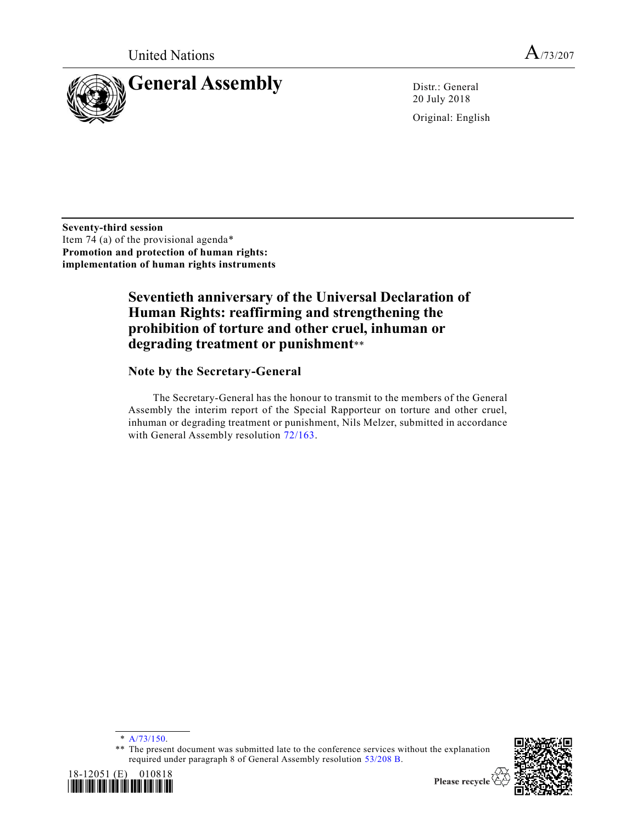

20 July 2018

Original: English

**Seventy-third session** Item 74 (a) of the provisional agenda\* **Promotion and protection of human rights: implementation of human rights instruments**

# **Seventieth anniversary of the Universal Declaration of Human Rights: reaffirming and strengthening the prohibition of torture and other cruel, inhuman or degrading treatment or punishment**\*\*

# **Note by the Secretary-General**

The Secretary-General has the honour to transmit to the members of the General Assembly the interim report of the Special Rapporteur on torture and other cruel, inhuman or degrading treatment or punishment, Nils Melzer, submitted in accordance with General Assembly resolution [72/163.](https://undocs.org/A/RES/72/163)

\* [A/73/150.](https://undocs.org/A/73/150)

\*\* The present document was submitted late to the conference services without the explanation required under paragraph 8 of General Assembly resolution [53/208 B.](https://undocs.org/A/RES/53/208b)



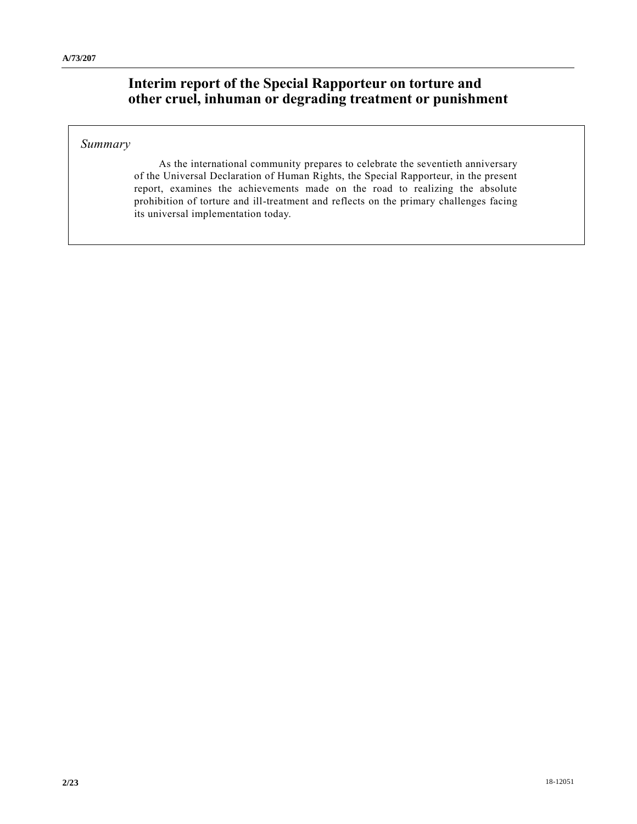# **Interim report of the Special Rapporteur on torture and other cruel, inhuman or degrading treatment or punishment**

# *Summary*

As the international community prepares to celebrate the seventieth anniversary of the Universal Declaration of Human Rights, the Special Rapporteur, in the present report, examines the achievements made on the road to realizing the absolute prohibition of torture and ill-treatment and reflects on the primary challenges facing its universal implementation today.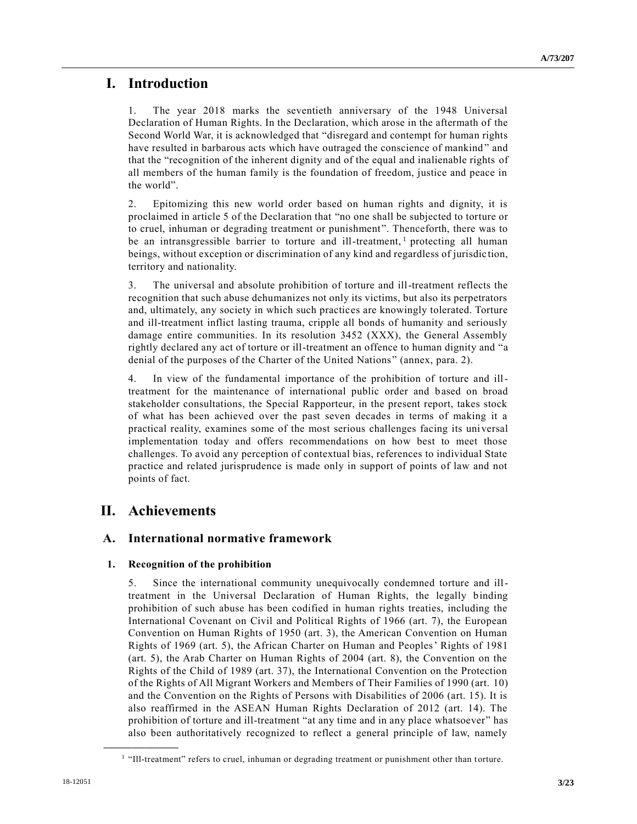# **I. Introduction**

1. The year 2018 marks the seventieth anniversary of the 1948 Universal Declaration of Human Rights. In the Declaration, which arose in the aftermath of the Second World War, it is acknowledged that "disregard and contempt for human rights have resulted in barbarous acts which have outraged the conscience of mankind " and that the "recognition of the inherent dignity and of the equal and inalienable rights of all members of the human family is the foundation of freedom, justice and peace in the world".

2. Epitomizing this new world order based on human rights and dignity, it is proclaimed in article 5 of the Declaration that "no one shall be subjected to torture or to cruel, inhuman or degrading treatment or punishment ". Thenceforth, there was to be an intransgressible barrier to torture and ill-treatment,<sup>1</sup> protecting all human beings, without exception or discrimination of any kind and regardless of jurisdic tion, territory and nationality.

3. The universal and absolute prohibition of torture and ill-treatment reflects the recognition that such abuse dehumanizes not only its victims, but also its perpetrators and, ultimately, any society in which such practices are knowingly tolerated. Torture and ill-treatment inflict lasting trauma, cripple all bonds of humanity and seriously damage entire communities. In its resolution 3452 (XXX), the General Assembly rightly declared any act of torture or ill-treatment an offence to human dignity and "a denial of the purposes of the Charter of the United Nations" (annex, para. 2).

4. In view of the fundamental importance of the prohibition of torture and illtreatment for the maintenance of international public order and based on broad stakeholder consultations, the Special Rapporteur, in the present report, takes stock of what has been achieved over the past seven decades in terms of making it a practical reality, examines some of the most serious challenges facing its uni versal implementation today and offers recommendations on how best to meet those challenges. To avoid any perception of contextual bias, references to individual State practice and related jurisprudence is made only in support of points of law and not points of fact.

# **II. Achievements**

**\_\_\_\_\_\_\_\_\_\_\_\_\_\_\_\_\_\_**

# **A. International normative framework**

# **1. Recognition of the prohibition**

5. Since the international community unequivocally condemned torture and illtreatment in the Universal Declaration of Human Rights, the legally binding prohibition of such abuse has been codified in human rights treaties, including the International Covenant on Civil and Political Rights of 1966 (art. 7), the European Convention on Human Rights of 1950 (art. 3), the American Convention on Human Rights of 1969 (art. 5), the African Charter on Human and Peoples' Rights of 1981 (art. 5), the Arab Charter on Human Rights of 2004 (art. 8), the Convention on the Rights of the Child of 1989 (art. 37), the International Convention on the Protection of the Rights of All Migrant Workers and Members of Their Families of 1990 (art. 10) and the Convention on the Rights of Persons with Disabilities of 2006 (art. 15). It is also reaffirmed in the ASEAN Human Rights Declaration of 2012 (art. 14). The prohibition of torture and ill-treatment "at any time and in any place whatsoever" has also been authoritatively recognized to reflect a general principle of law, namely

<sup>&</sup>lt;sup>1</sup> "Ill-treatment" refers to cruel, inhuman or degrading treatment or punishment other than torture.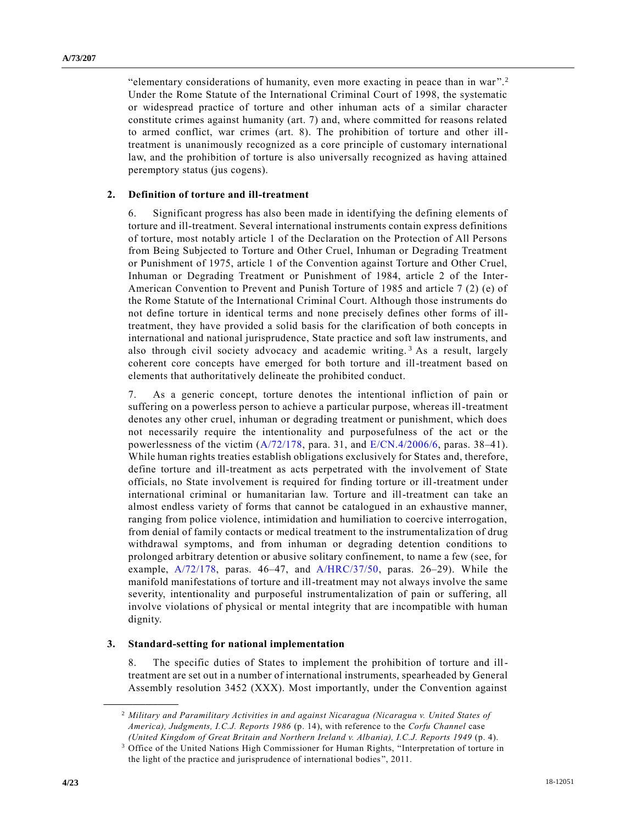"elementary considerations of humanity, even more exacting in peace than in war".<sup>2</sup> Under the Rome Statute of the International Criminal Court of 1998, the systematic or widespread practice of torture and other inhuman acts of a similar character constitute crimes against humanity (art. 7) and, where committed for reasons related to armed conflict, war crimes (art. 8). The prohibition of torture and other illtreatment is unanimously recognized as a core principle of customary international law, and the prohibition of torture is also universally recognized as having attained peremptory status (jus cogens).

#### **2. Definition of torture and ill-treatment**

6. Significant progress has also been made in identifying the defining elements of torture and ill-treatment. Several international instruments contain express definitions of torture, most notably article 1 of the Declaration on the Protection of All Persons from Being Subjected to Torture and Other Cruel, Inhuman or Degrading Treatment or Punishment of 1975, article 1 of the Convention against Torture and Other Cruel, Inhuman or Degrading Treatment or Punishment of 1984, article 2 of the Inter-American Convention to Prevent and Punish Torture of 1985 and article 7 (2) (e) of the Rome Statute of the International Criminal Court. Although those instruments do not define torture in identical terms and none precisely defines other forms of illtreatment, they have provided a solid basis for the clarification of both concepts in international and national jurisprudence, State practice and soft law instruments, and also through civil society advocacy and academic writing.<sup>3</sup> As a result, largely coherent core concepts have emerged for both torture and ill-treatment based on elements that authoritatively delineate the prohibited conduct.

7. As a generic concept, torture denotes the intentional infliction of pain or suffering on a powerless person to achieve a particular purpose, whereas ill-treatment denotes any other cruel, inhuman or degrading treatment or punishment, which does not necessarily require the intentionality and purposefulness of the act or the powerlessness of the victim  $(A/72/178$ , para. 31, and  $E/CN.4/2006/6$ , paras. 38–41). While human rights treaties establish obligations exclusively for States and, therefore, define torture and ill-treatment as acts perpetrated with the involvement of State officials, no State involvement is required for finding torture or ill-treatment under international criminal or humanitarian law. Torture and ill-treatment can take an almost endless variety of forms that cannot be catalogued in an exhaustive manner, ranging from police violence, intimidation and humiliation to coercive interrogation, from denial of family contacts or medical treatment to the instrumentalization of drug withdrawal symptoms, and from inhuman or degrading detention conditions to prolonged arbitrary detention or abusive solitary confinement, to name a few (see, for example, [A/72/178,](https://undocs.org/A/72/178) paras. 46–47, and [A/HRC/37/50,](https://undocs.org/A/HRC/37/50) paras. 26–29). While the manifold manifestations of torture and ill-treatment may not always involve the same severity, intentionality and purposeful instrumentalization of pain or suffering, all involve violations of physical or mental integrity that are incompatible with human dignity.

#### **3. Standard-setting for national implementation**

8. The specific duties of States to implement the prohibition of torture and illtreatment are set out in a number of international instruments, spearheaded by General Assembly resolution 3452 (XXX). Most importantly, under the Convention against

<sup>2</sup> *Military and Paramilitary Activities in and against Nicaragua (Nicaragua v. United States of America), Judgments, I.C.J. Reports 1986* (p. 14), with reference to the *Corfu Channel* case *(United Kingdom of Great Britain and Northern Ireland v. Albania), I.C.J. Reports 1949* (p. 4).

<sup>3</sup> Office of the United Nations High Commissioner for Human Rights, "Interpretation of torture in the light of the practice and jurisprudence of international bodies ", 2011.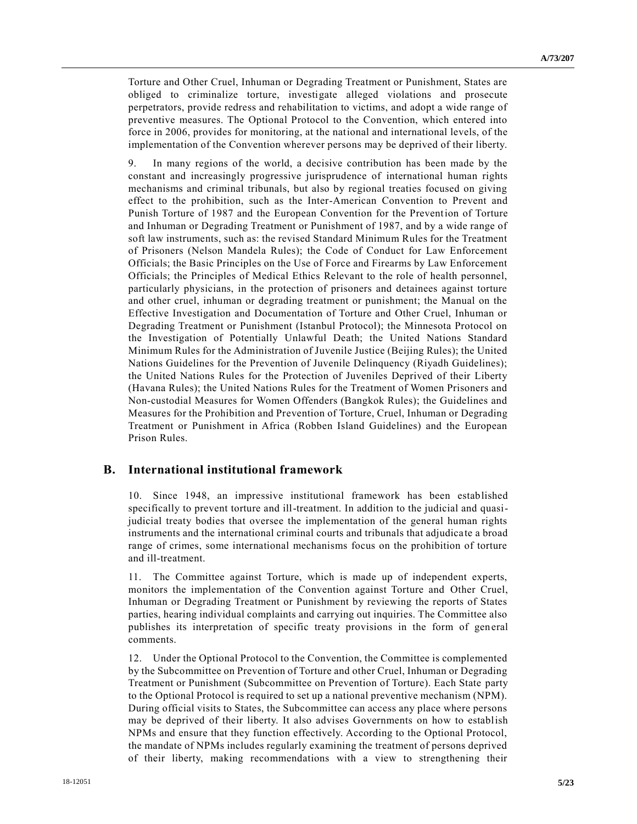Torture and Other Cruel, Inhuman or Degrading Treatment or Punishment, States are obliged to criminalize torture, investigate alleged violations and prosecute perpetrators, provide redress and rehabilitation to victims, and adopt a wide range of preventive measures. The Optional Protocol to the Convention, which entered into force in 2006, provides for monitoring, at the national and international levels, of the implementation of the Convention wherever persons may be deprived of their liberty.

9. In many regions of the world, a decisive contribution has been made by the constant and increasingly progressive jurisprudence of international human rights mechanisms and criminal tribunals, but also by regional treaties focused on giving effect to the prohibition, such as the Inter-American Convention to Prevent and Punish Torture of 1987 and the European Convention for the Prevention of Torture and Inhuman or Degrading Treatment or Punishment of 1987, and by a wide range of soft law instruments, such as: the revised Standard Minimum Rules for the Treatment of Prisoners (Nelson Mandela Rules); the Code of Conduct for Law Enforcement Officials; the Basic Principles on the Use of Force and Firearms by Law Enforcement Officials; the Principles of Medical Ethics Relevant to the role of health personnel, particularly physicians, in the protection of prisoners and detainees against torture and other cruel, inhuman or degrading treatment or punishment; the Manual on the Effective Investigation and Documentation of Torture and Other Cruel, Inhuman or Degrading Treatment or Punishment (Istanbul Protocol); the Minnesota Protocol on the Investigation of Potentially Unlawful Death; the United Nations Standard Minimum Rules for the Administration of Juvenile Justice (Beijing Rules); the United Nations Guidelines for the Prevention of Juvenile Delinquency (Riyadh Guidelines); the United Nations Rules for the Protection of Juveniles Deprived of their Liberty (Havana Rules); the United Nations Rules for the Treatment of Women Prisoners and Non-custodial Measures for Women Offenders (Bangkok Rules); the Guidelines and Measures for the Prohibition and Prevention of Torture, Cruel, Inhuman or Degrading Treatment or Punishment in Africa (Robben Island Guidelines) and the European Prison Rules.

# **B. International institutional framework**

10. Since 1948, an impressive institutional framework has been established specifically to prevent torture and ill-treatment. In addition to the judicial and quasijudicial treaty bodies that oversee the implementation of the general human rights instruments and the international criminal courts and tribunals that adjudica te a broad range of crimes, some international mechanisms focus on the prohibition of torture and ill-treatment.

11. The Committee against Torture, which is made up of independent experts, monitors the implementation of the Convention against Torture and Other Cruel, Inhuman or Degrading Treatment or Punishment by reviewing the reports of States parties, hearing individual complaints and carrying out inquiries. The Committee also publishes its interpretation of specific treaty provisions in the form of general comments.

12. Under the Optional Protocol to the Convention, the Committee is complemented by the Subcommittee on Prevention of Torture and other Cruel, Inhuman or Degrading Treatment or Punishment (Subcommittee on Prevention of Torture). Each State party to the Optional Protocol is required to set up a national preventive mechanism (NPM). During official visits to States, the Subcommittee can access any place where persons may be deprived of their liberty. It also advises Governments on how to establish NPMs and ensure that they function effectively. According to the Optional Protocol, the mandate of NPMs includes regularly examining the treatment of persons deprived of their liberty, making recommendations with a view to strengthening their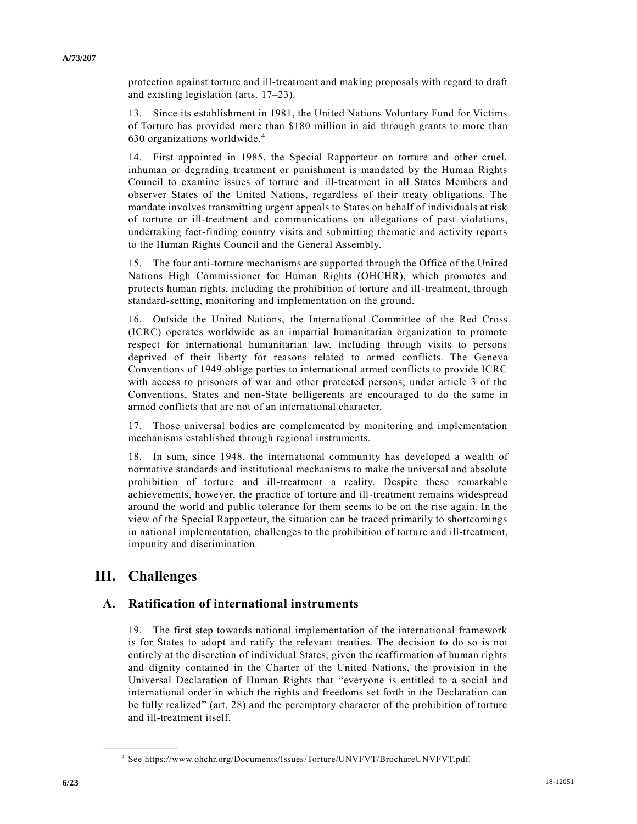protection against torture and ill-treatment and making proposals with regard to draft and existing legislation (arts. 17–23).

13. Since its establishment in 1981, the United Nations Voluntary Fund for Victims of Torture has provided more than \$180 million in aid through grants to more than 630 organizations worldwide.<sup>4</sup>

14. First appointed in 1985, the Special Rapporteur on torture and other cruel, inhuman or degrading treatment or punishment is mandated by the Human Rights Council to examine issues of torture and ill-treatment in all States Members and observer States of the United Nations, regardless of their treaty obligations. The mandate involves transmitting urgent appeals to States on behalf of individuals at risk of torture or ill-treatment and communications on allegations of past violations, undertaking fact-finding country visits and submitting thematic and activity reports to the Human Rights Council and the General Assembly.

15. The four anti-torture mechanisms are supported through the Office of the United Nations High Commissioner for Human Rights (OHCHR), which promotes and protects human rights, including the prohibition of torture and ill-treatment, through standard-setting, monitoring and implementation on the ground.

16. Outside the United Nations, the International Committee of the Red Cross (ICRC) operates worldwide as an impartial humanitarian organization to promote respect for international humanitarian law, including through visits to persons deprived of their liberty for reasons related to armed conflicts. The Geneva Conventions of 1949 oblige parties to international armed conflicts to provide ICRC with access to prisoners of war and other protected persons; under article 3 of the Conventions, States and non-State belligerents are encouraged to do the same in armed conflicts that are not of an international character.

17. Those universal bodies are complemented by monitoring and implementation mechanisms established through regional instruments.

18. In sum, since 1948, the international community has developed a wealth of normative standards and institutional mechanisms to make the universal and absolute prohibition of torture and ill-treatment a reality. Despite these remarkable achievements, however, the practice of torture and ill-treatment remains widespread around the world and public tolerance for them seems to be on the rise again. In the view of the Special Rapporteur, the situation can be traced primarily to shortcomings in national implementation, challenges to the prohibition of torture and ill-treatment, impunity and discrimination.

# **III. Challenges**

**\_\_\_\_\_\_\_\_\_\_\_\_\_\_\_\_\_\_**

# **A. Ratification of international instruments**

19. The first step towards national implementation of the international framework is for States to adopt and ratify the relevant treaties. The decision to do so is not entirely at the discretion of individual States, given the reaffirmation of human rights and dignity contained in the Charter of the United Nations, the provision in the Universal Declaration of Human Rights that "everyone is entitled to a social and international order in which the rights and freedoms set forth in the Declaration can be fully realized" (art. 28) and the peremptory character of the prohibition of torture and ill-treatment itself.

<sup>4</sup> See https://www.ohchr.org/Documents/Issues/Torture/UNVFVT/BrochureUNVFVT.pdf.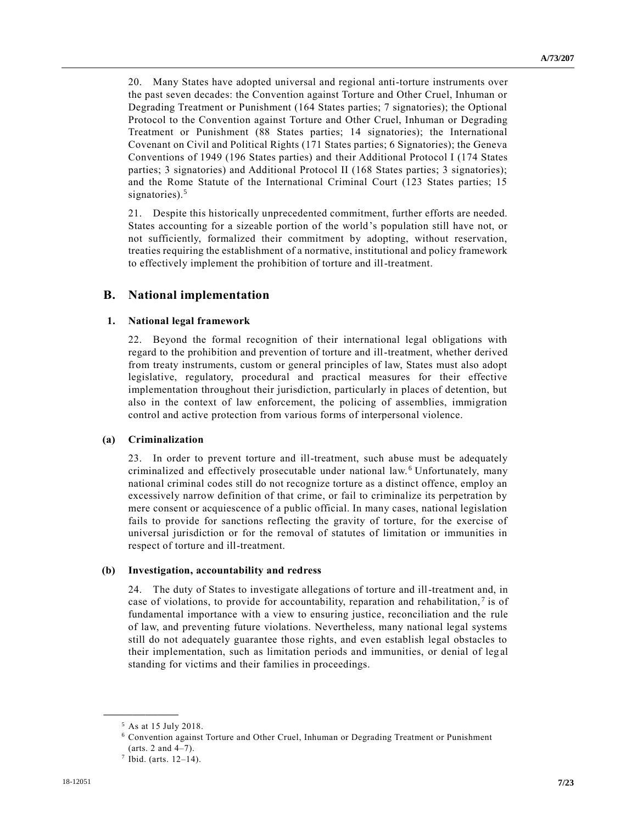20. Many States have adopted universal and regional anti-torture instruments over the past seven decades: the Convention against Torture and Other Cruel, Inhuman or Degrading Treatment or Punishment (164 States parties; 7 signatories); the Optional Protocol to the Convention against Torture and Other Cruel, Inhuman or Degrading Treatment or Punishment (88 States parties; 14 signatories); the International Covenant on Civil and Political Rights (171 States parties; 6 Signatories); the Geneva Conventions of 1949 (196 States parties) and their Additional Protocol I (174 States parties; 3 signatories) and Additional Protocol II (168 States parties; 3 signatories); and the Rome Statute of the International Criminal Court (123 States parties; 15 signatories).<sup>5</sup>

21. Despite this historically unprecedented commitment, further efforts are needed. States accounting for a sizeable portion of the world's population still have not, or not sufficiently, formalized their commitment by adopting, without reservation, treaties requiring the establishment of a normative, institutional and policy framework to effectively implement the prohibition of torture and ill-treatment.

# **B. National implementation**

# **1. National legal framework**

22. Beyond the formal recognition of their international legal obligations with regard to the prohibition and prevention of torture and ill-treatment, whether derived from treaty instruments, custom or general principles of law, States must also adopt legislative, regulatory, procedural and practical measures for their effective implementation throughout their jurisdiction, particularly in places of detention, but also in the context of law enforcement, the policing of assemblies, immigration control and active protection from various forms of interpersonal violence.

# **(a) Criminalization**

23. In order to prevent torture and ill-treatment, such abuse must be adequately criminalized and effectively prosecutable under national law. <sup>6</sup> Unfortunately, many national criminal codes still do not recognize torture as a distinct offence, employ an excessively narrow definition of that crime, or fail to criminalize its perpetration by mere consent or acquiescence of a public official. In many cases, national legislation fails to provide for sanctions reflecting the gravity of torture, for the exercise of universal jurisdiction or for the removal of statutes of limitation or immunities in respect of torture and ill-treatment.

# **(b) Investigation, accountability and redress**

24. The duty of States to investigate allegations of torture and ill-treatment and, in case of violations, to provide for accountability, reparation and rehabilitation,<sup>7</sup> is of fundamental importance with a view to ensuring justice, reconciliation and the rule of law, and preventing future violations. Nevertheless, many national legal systems still do not adequately guarantee those rights, and even establish legal obstacles to their implementation, such as limitation periods and immunities, or denial of leg al standing for victims and their families in proceedings.

<sup>5</sup> As at 15 July 2018.

<sup>6</sup> Convention against Torture and Other Cruel, Inhuman or Degrading Treatment or Punishment (arts. 2 and 4–7).

 $7$  Ibid. (arts. 12-14).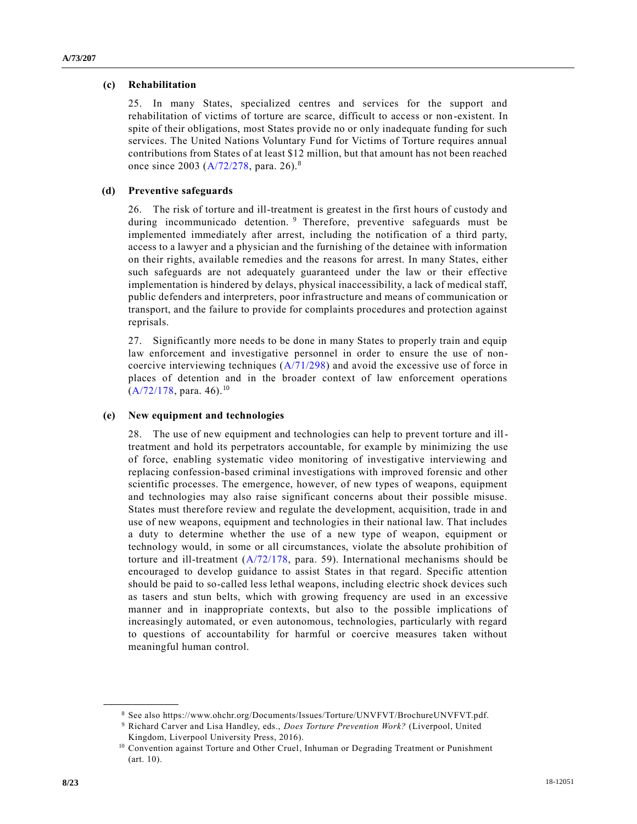### **(c) Rehabilitation**

25. In many States, specialized centres and services for the support and rehabilitation of victims of torture are scarce, difficult to access or non-existent. In spite of their obligations, most States provide no or only inadequate funding for such services. The United Nations Voluntary Fund for Victims of Torture requires annual contributions from States of at least \$12 million, but that amount has not been reached once since 2003 [\(A/72/278,](https://undocs.org/A/72/278) para. 26).<sup>8</sup>

### **(d) Preventive safeguards**

26. The risk of torture and ill-treatment is greatest in the first hours of custody and during incommunicado detention. <sup>9</sup> Therefore, preventive safeguards must be implemented immediately after arrest, including the notification of a third party, access to a lawyer and a physician and the furnishing of the detainee with information on their rights, available remedies and the reasons for arrest. In many States, either such safeguards are not adequately guaranteed under the law or their effective implementation is hindered by delays, physical inaccessibility, a lack of medical staff, public defenders and interpreters, poor infrastructure and means of communication or transport, and the failure to provide for complaints procedures and protection against reprisals.

27. Significantly more needs to be done in many States to properly train and equip law enforcement and investigative personnel in order to ensure the use of noncoercive interviewing techniques [\(A/71/298\)](https://undocs.org/A/71/298) and avoid the excessive use of force in places of detention and in the broader context of law enforcement operations  $(A/72/178, \text{para. } 46).$  $(A/72/178, \text{para. } 46).$ <sup>10</sup>

## **(e) New equipment and technologies**

28. The use of new equipment and technologies can help to prevent torture and illtreatment and hold its perpetrators accountable, for example by minimizing the use of force, enabling systematic video monitoring of investigative interviewing and replacing confession-based criminal investigations with improved forensic and other scientific processes. The emergence, however, of new types of weapons, equipment and technologies may also raise significant concerns about their possible misuse. States must therefore review and regulate the development, acquisition, trade in and use of new weapons, equipment and technologies in their national law. That includes a duty to determine whether the use of a new type of weapon, equipment or technology would, in some or all circumstances, violate the absolute prohibition of torture and ill-treatment [\(A/72/178,](https://undocs.org/A/72/178) para. 59). International mechanisms should be encouraged to develop guidance to assist States in that regard. Specific attention should be paid to so-called less lethal weapons, including electric shock devices such as tasers and stun belts, which with growing frequency are used in an excessive manner and in inappropriate contexts, but also to the possible implications of increasingly automated, or even autonomous, technologies, particularly with regard to questions of accountability for harmful or coercive measures taken without meaningful human control.

<sup>8</sup> See also https://www.ohchr.org/Documents/Issues/Torture/UNVFVT/BrochureUNVFVT.pdf.

<sup>9</sup> Richard Carver and Lisa Handley, eds., *Does Torture Prevention Work?* (Liverpool, United Kingdom, Liverpool University Press, 2016).

<sup>10</sup> Convention against Torture and Other Cruel, Inhuman or Degrading Treatment or Punishment (art. 10).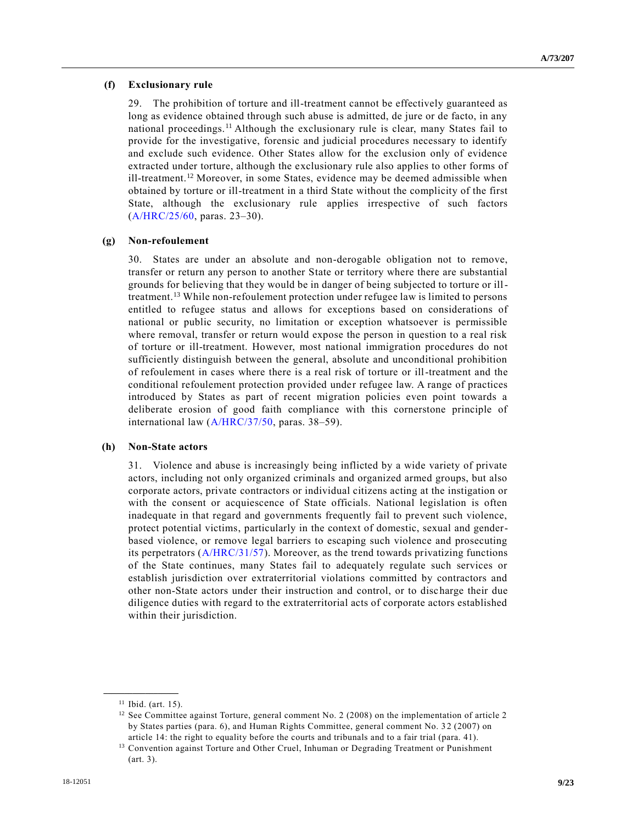#### **(f) Exclusionary rule**

29. The prohibition of torture and ill-treatment cannot be effectively guaranteed as long as evidence obtained through such abuse is admitted, de jure or de facto, in any national proceedings.<sup>11</sup> Although the exclusionary rule is clear, many States fail to provide for the investigative, forensic and judicial procedures necessary to identify and exclude such evidence. Other States allow for the exclusion only of evidence extracted under torture, although the exclusionary rule also applies to other forms of ill-treatment.<sup>12</sup> Moreover, in some States, evidence may be deemed admissible when obtained by torture or ill-treatment in a third State without the complicity of the first State, although the exclusionary rule applies irrespective of such factors [\(A/HRC/25/60,](https://undocs.org/A/HRC/25/60) paras. 23–30).

#### **(g) Non-refoulement**

30. States are under an absolute and non-derogable obligation not to remove, transfer or return any person to another State or territory where there are substantial grounds for believing that they would be in danger of being subjected to torture or illtreatment.<sup>13</sup> While non-refoulement protection under refugee law is limited to persons entitled to refugee status and allows for exceptions based on considerations of national or public security, no limitation or exception whatsoever is permissible where removal, transfer or return would expose the person in question to a real risk of torture or ill-treatment. However, most national immigration procedures do not sufficiently distinguish between the general, absolute and unconditional prohibition of refoulement in cases where there is a real risk of torture or ill-treatment and the conditional refoulement protection provided under refugee law. A range of practices introduced by States as part of recent migration policies even point towards a deliberate erosion of good faith compliance with this cornerstone principle of international law [\(A/HRC/37/50,](https://undocs.org/A/HRC/37/50) paras. 38–59).

#### **(h) Non-State actors**

31. Violence and abuse is increasingly being inflicted by a wide variety of private actors, including not only organized criminals and organized armed groups, but also corporate actors, private contractors or individual citizens acting at the instigation or with the consent or acquiescence of State officials. National legislation is often inadequate in that regard and governments frequently fail to prevent such violence, protect potential victims, particularly in the context of domestic, sexual and genderbased violence, or remove legal barriers to escaping such violence and prosecuting its perpetrators [\(A/HRC/31/57\)](https://undocs.org/A/HRC/31/57). Moreover, as the trend towards privatizing functions of the State continues, many States fail to adequately regulate such services or establish jurisdiction over extraterritorial violations committed by contractors and other non-State actors under their instruction and control, or to discharge their due diligence duties with regard to the extraterritorial acts of corporate actors established within their jurisdiction.

<sup>11</sup> Ibid. (art. 15).

<sup>&</sup>lt;sup>12</sup> See Committee against Torture, general comment No. 2 (2008) on the implementation of article 2 by States parties (para. 6), and Human Rights Committee, general comment No. 3 2 (2007) on article 14: the right to equality before the courts and tribunals and to a fair trial (para. 41).

<sup>&</sup>lt;sup>13</sup> Convention against Torture and Other Cruel, Inhuman or Degrading Treatment or Punishment (art. 3).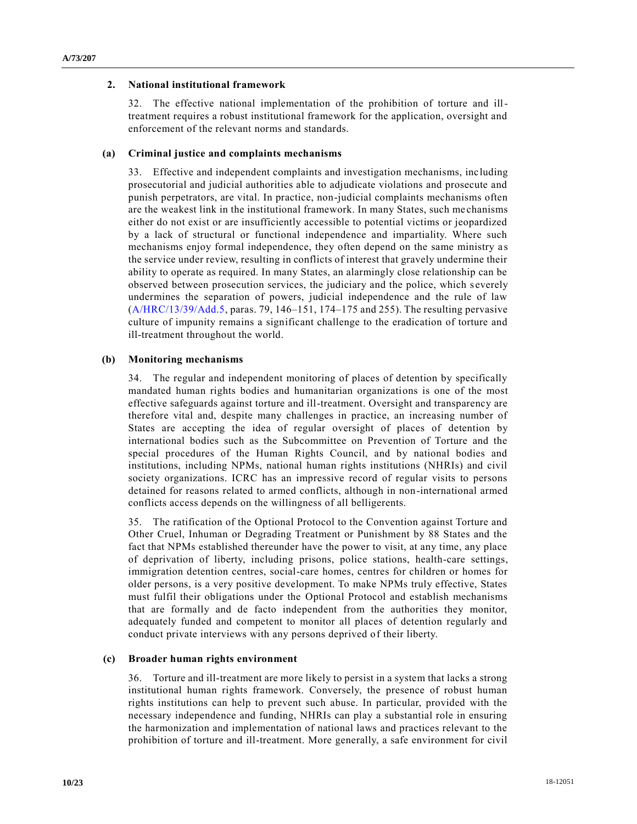#### **2. National institutional framework**

32. The effective national implementation of the prohibition of torture and illtreatment requires a robust institutional framework for the application, oversight and enforcement of the relevant norms and standards.

#### **(a) Criminal justice and complaints mechanisms**

33. Effective and independent complaints and investigation mechanisms, including prosecutorial and judicial authorities able to adjudicate violations and prosecute and punish perpetrators, are vital. In practice, non-judicial complaints mechanisms often are the weakest link in the institutional framework. In many States, such me chanisms either do not exist or are insufficiently accessible to potential victims or jeopardized by a lack of structural or functional independence and impartiality. Where such mechanisms enjoy formal independence, they often depend on the same ministry a s the service under review, resulting in conflicts of interest that gravely undermine their ability to operate as required. In many States, an alarmingly close relationship can be observed between prosecution services, the judiciary and the police, which s everely undermines the separation of powers, judicial independence and the rule of law [\(A/HRC/13/39/Add.5,](https://undocs.org/A/HRC/13/39/Add.5) paras. 79, 146–151, 174–175 and 255). The resulting pervasive culture of impunity remains a significant challenge to the eradication of torture and ill-treatment throughout the world.

#### **(b) Monitoring mechanisms**

34. The regular and independent monitoring of places of detention by specifically mandated human rights bodies and humanitarian organizations is one of the most effective safeguards against torture and ill-treatment. Oversight and transparency are therefore vital and, despite many challenges in practice, an increasing number of States are accepting the idea of regular oversight of places of detention by international bodies such as the Subcommittee on Prevention of Torture and the special procedures of the Human Rights Council, and by national bodies and institutions, including NPMs, national human rights institutions (NHRIs) and civil society organizations. ICRC has an impressive record of regular visits to persons detained for reasons related to armed conflicts, although in non-international armed conflicts access depends on the willingness of all belligerents.

35. The ratification of the Optional Protocol to the Convention against Torture and Other Cruel, Inhuman or Degrading Treatment or Punishment by 88 States and the fact that NPMs established thereunder have the power to visit, at any time, any place of deprivation of liberty, including prisons, police stations, health-care settings, immigration detention centres, social-care homes, centres for children or homes for older persons, is a very positive development. To make NPMs truly effective, States must fulfil their obligations under the Optional Protocol and establish mechanisms that are formally and de facto independent from the authorities they monitor, adequately funded and competent to monitor all places of detention regularly and conduct private interviews with any persons deprived of their liberty.

#### **(c) Broader human rights environment**

36. Torture and ill-treatment are more likely to persist in a system that lacks a strong institutional human rights framework. Conversely, the presence of robust human rights institutions can help to prevent such abuse. In particular, provided with the necessary independence and funding, NHRIs can play a substantial role in ensuring the harmonization and implementation of national laws and practices relevant to the prohibition of torture and ill-treatment. More generally, a safe environment for civil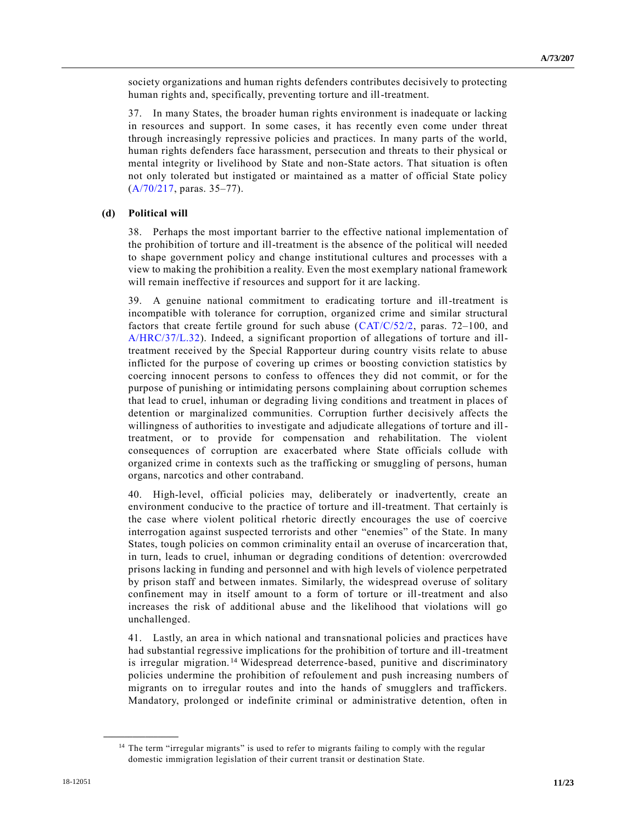society organizations and human rights defenders contributes decisively to protecting human rights and, specifically, preventing torture and ill-treatment.

37. In many States, the broader human rights environment is inadequate or lacking in resources and support. In some cases, it has recently even come under threat through increasingly repressive policies and practices. In many parts of the world, human rights defenders face harassment, persecution and threats to their physical or mental integrity or livelihood by State and non-State actors. That situation is often not only tolerated but instigated or maintained as a matter of official State policy [\(A/70/217,](https://undocs.org/A/70/217) paras. 35–77).

# **(d) Political will**

38. Perhaps the most important barrier to the effective national implementation of the prohibition of torture and ill-treatment is the absence of the political will needed to shape government policy and change institutional cultures and processes with a view to making the prohibition a reality. Even the most exemplary national framework will remain ineffective if resources and support for it are lacking.

39. A genuine national commitment to eradicating torture and ill-treatment is incompatible with tolerance for corruption, organized crime and similar structural factors that create fertile ground for such abuse [\(CAT/C/52/2,](https://undocs.org/CAT/C/52/2) paras. 72–100, and [A/HRC/37/L.32\)](https://undocs.org/A/HRC/37/L.32). Indeed, a significant proportion of allegations of torture and illtreatment received by the Special Rapporteur during country visits relate to abuse inflicted for the purpose of covering up crimes or boosting conviction statistics by coercing innocent persons to confess to offences they did not commit, or for the purpose of punishing or intimidating persons complaining about corruption schemes that lead to cruel, inhuman or degrading living conditions and treatment in places of detention or marginalized communities. Corruption further decisively affects the willingness of authorities to investigate and adjudicate allegations of torture and illtreatment, or to provide for compensation and rehabilitation. The violent consequences of corruption are exacerbated where State officials collude with organized crime in contexts such as the trafficking or smuggling of persons, human organs, narcotics and other contraband.

40. High-level, official policies may, deliberately or inadvertently, create an environment conducive to the practice of torture and ill-treatment. That certainly is the case where violent political rhetoric directly encourages the use of coercive interrogation against suspected terrorists and other "enemies" of the State. In many States, tough policies on common criminality entail an overuse of incarceration that, in turn, leads to cruel, inhuman or degrading conditions of detention: overcrowded prisons lacking in funding and personnel and with high levels of violence perpetrated by prison staff and between inmates. Similarly, the widespread overuse of solitary confinement may in itself amount to a form of torture or ill-treatment and also increases the risk of additional abuse and the likelihood that violations will go unchallenged.

41. Lastly, an area in which national and transnational policies and practices have had substantial regressive implications for the prohibition of torture and ill-treatment is irregular migration.<sup>14</sup> Widespread deterrence-based, punitive and discriminatory policies undermine the prohibition of refoulement and push increasing numbers of migrants on to irregular routes and into the hands of smugglers and traffickers. Mandatory, prolonged or indefinite criminal or administrative detention, often in

<sup>&</sup>lt;sup>14</sup> The term "irregular migrants" is used to refer to migrants failing to comply with the regular domestic immigration legislation of their current transit or destination State.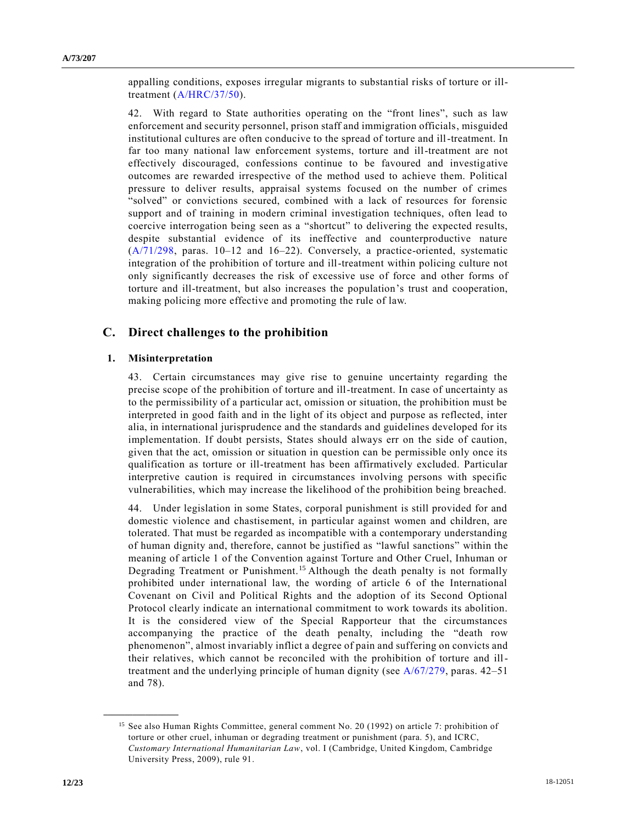appalling conditions, exposes irregular migrants to substantial risks of torture or illtreatment [\(A/HRC/37/50\)](https://undocs.org/A/HRC/37/50).

42. With regard to State authorities operating on the "front lines", such as law enforcement and security personnel, prison staff and immigration officials, misguided institutional cultures are often conducive to the spread of torture and ill-treatment. In far too many national law enforcement systems, torture and ill-treatment are not effectively discouraged, confessions continue to be favoured and investigative outcomes are rewarded irrespective of the method used to achieve them. Political pressure to deliver results, appraisal systems focused on the number of crimes "solved" or convictions secured, combined with a lack of resources for forensic support and of training in modern criminal investigation techniques, often lead to coercive interrogation being seen as a "shortcut" to delivering the expected results, despite substantial evidence of its ineffective and counterproductive nature [\(A/71/298,](https://undocs.org/A/71/298) paras. 10–12 and 16–22). Conversely, a practice-oriented, systematic integration of the prohibition of torture and ill-treatment within policing culture not only significantly decreases the risk of excessive use of force and other forms of torture and ill-treatment, but also increases the population's trust and cooperation, making policing more effective and promoting the rule of law.

# **C. Direct challenges to the prohibition**

#### **1. Misinterpretation**

43. Certain circumstances may give rise to genuine uncertainty regarding the precise scope of the prohibition of torture and ill-treatment. In case of uncertainty as to the permissibility of a particular act, omission or situation, the prohibition must be interpreted in good faith and in the light of its object and purpose as reflected, inter alia, in international jurisprudence and the standards and guidelines developed for its implementation. If doubt persists, States should always err on the side of caution, given that the act, omission or situation in question can be permissible only once its qualification as torture or ill-treatment has been affirmatively excluded. Particular interpretive caution is required in circumstances involving persons with specific vulnerabilities, which may increase the likelihood of the prohibition being breached.

44. Under legislation in some States, corporal punishment is still provided for and domestic violence and chastisement, in particular against women and children, are tolerated. That must be regarded as incompatible with a contemporary understanding of human dignity and, therefore, cannot be justified as "lawful sanctions" within the meaning of article 1 of the Convention against Torture and Other Cruel, Inhuman or Degrading Treatment or Punishment.<sup>15</sup> Although the death penalty is not formally prohibited under international law, the wording of article 6 of the International Covenant on Civil and Political Rights and the adoption of its Second Optional Protocol clearly indicate an international commitment to work towards its abolition. It is the considered view of the Special Rapporteur that the circumstances accompanying the practice of the death penalty, including the "death row phenomenon", almost invariably inflict a degree of pain and suffering on convicts and their relatives, which cannot be reconciled with the prohibition of torture and illtreatment and the underlying principle of human dignity (see [A/67/279,](https://undocs.org/A/67/279) paras. 42–51 and 78).

<sup>&</sup>lt;sup>15</sup> See also Human Rights Committee, general comment No. 20 (1992) on article 7: prohibition of torture or other cruel, inhuman or degrading treatment or punishment (para. 5), and ICRC, *Customary International Humanitarian Law*, vol. I (Cambridge, United Kingdom, Cambridge University Press, 2009), rule 91.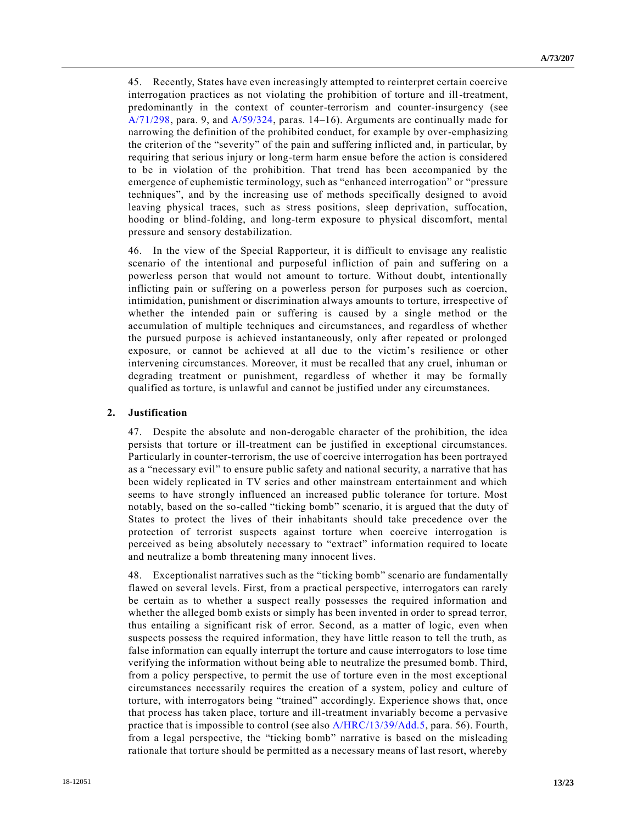45. Recently, States have even increasingly attempted to reinterpret certain coercive interrogation practices as not violating the prohibition of torture and ill-treatment, predominantly in the context of counter-terrorism and counter-insurgency (see [A/71/298,](https://undocs.org/A/71/298) para. 9, and [A/59/324,](https://undocs.org/A/59/324) paras. 14–16). Arguments are continually made for narrowing the definition of the prohibited conduct, for example by over-emphasizing the criterion of the "severity" of the pain and suffering inflicted and, in particular, by requiring that serious injury or long-term harm ensue before the action is considered to be in violation of the prohibition. That trend has been accompanied by the emergence of euphemistic terminology, such as "enhanced interrogation" or "pressure techniques", and by the increasing use of methods specifically designed to avoid leaving physical traces, such as stress positions, sleep deprivation, suffocation, hooding or blind-folding, and long-term exposure to physical discomfort, mental pressure and sensory destabilization.

46. In the view of the Special Rapporteur, it is difficult to envisage any realistic scenario of the intentional and purposeful infliction of pain and suffering on a powerless person that would not amount to torture. Without doubt, intentionally inflicting pain or suffering on a powerless person for purposes such as coercion, intimidation, punishment or discrimination always amounts to torture, irrespective of whether the intended pain or suffering is caused by a single method or the accumulation of multiple techniques and circumstances, and regardless of whether the pursued purpose is achieved instantaneously, only after repeated or prolonged exposure, or cannot be achieved at all due to the victim's resilience or other intervening circumstances. Moreover, it must be recalled that any cruel, inhuman or degrading treatment or punishment, regardless of whether it may be formally qualified as torture, is unlawful and cannot be justified under any circumstances.

#### **2. Justification**

47. Despite the absolute and non-derogable character of the prohibition, the idea persists that torture or ill-treatment can be justified in exceptional circumstances. Particularly in counter-terrorism, the use of coercive interrogation has been portrayed as a "necessary evil" to ensure public safety and national security, a narrative that has been widely replicated in TV series and other mainstream entertainment and which seems to have strongly influenced an increased public tolerance for torture. Most notably, based on the so-called "ticking bomb" scenario, it is argued that the duty of States to protect the lives of their inhabitants should take precedence over the protection of terrorist suspects against torture when coercive interrogation is perceived as being absolutely necessary to "extract" information required to locate and neutralize a bomb threatening many innocent lives.

48. Exceptionalist narratives such as the "ticking bomb" scenario are fundamentally flawed on several levels. First, from a practical perspective, interrogators can rarely be certain as to whether a suspect really possesses the required information and whether the alleged bomb exists or simply has been invented in order to spread terror, thus entailing a significant risk of error. Second, as a matter of logic, even when suspects possess the required information, they have little reason to tell the truth, as false information can equally interrupt the torture and cause interrogators to lose time verifying the information without being able to neutralize the presumed bomb. Third, from a policy perspective, to permit the use of torture even in the most exceptional circumstances necessarily requires the creation of a system, policy and culture of torture, with interrogators being "trained" accordingly. Experience shows that, once that process has taken place, torture and ill-treatment invariably become a pervasive practice that is impossible to control (see also [A/HRC/13/39/Add.5,](https://undocs.org/A/HRC/13/39/Add.5) para. 56). Fourth, from a legal perspective, the "ticking bomb" narrative is based on the misleading rationale that torture should be permitted as a necessary means of last resort, whereby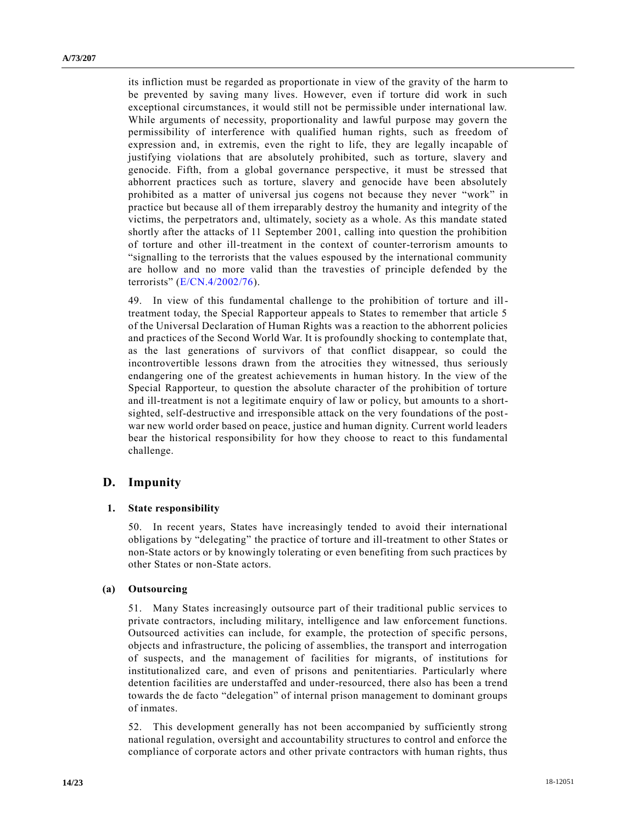its infliction must be regarded as proportionate in view of the gravity of the harm to be prevented by saving many lives. However, even if torture did work in such exceptional circumstances, it would still not be permissible under international law. While arguments of necessity, proportionality and lawful purpose may govern the permissibility of interference with qualified human rights, such as freedom of expression and, in extremis, even the right to life, they are legally incapable of justifying violations that are absolutely prohibited, such as torture, slavery and genocide. Fifth, from a global governance perspective, it must be stressed that abhorrent practices such as torture, slavery and genocide have been absolutely prohibited as a matter of universal jus cogens not because they never "work" in practice but because all of them irreparably destroy the humanity and integrity of the victims, the perpetrators and, ultimately, society as a whole. As this mandate stated shortly after the attacks of 11 September 2001, calling into question the prohibition of torture and other ill-treatment in the context of counter-terrorism amounts to "signalling to the terrorists that the values espoused by the international community are hollow and no more valid than the travesties of principle defended by the terrorists" [\(E/CN.4/2002/76\)](https://undocs.org/E/CN.4/2002/76).

49. In view of this fundamental challenge to the prohibition of torture and illtreatment today, the Special Rapporteur appeals to States to remember that article 5 of the Universal Declaration of Human Rights was a reaction to the abhorrent policies and practices of the Second World War. It is profoundly shocking to contemplate that, as the last generations of survivors of that conflict disappear, so could the incontrovertible lessons drawn from the atrocities they witnessed, thus seriously endangering one of the greatest achievements in human history. In the view of the Special Rapporteur, to question the absolute character of the prohibition of torture and ill-treatment is not a legitimate enquiry of law or policy, but amounts to a shortsighted, self-destructive and irresponsible attack on the very foundations of the postwar new world order based on peace, justice and human dignity. Current world leaders bear the historical responsibility for how they choose to react to this fundamental challenge.

# **D. Impunity**

#### **1. State responsibility**

50. In recent years, States have increasingly tended to avoid their international obligations by "delegating" the practice of torture and ill-treatment to other States or non-State actors or by knowingly tolerating or even benefiting from such practices by other States or non-State actors.

#### **(a) Outsourcing**

51. Many States increasingly outsource part of their traditional public services to private contractors, including military, intelligence and law enforcement functions. Outsourced activities can include, for example, the protection of specific persons, objects and infrastructure, the policing of assemblies, the transport and interrogation of suspects, and the management of facilities for migrants, of institutions for institutionalized care, and even of prisons and penitentiaries. Particularly where detention facilities are understaffed and under-resourced, there also has been a trend towards the de facto "delegation" of internal prison management to dominant groups of inmates.

52. This development generally has not been accompanied by sufficiently strong national regulation, oversight and accountability structures to control and enforce the compliance of corporate actors and other private contractors with human rights, thus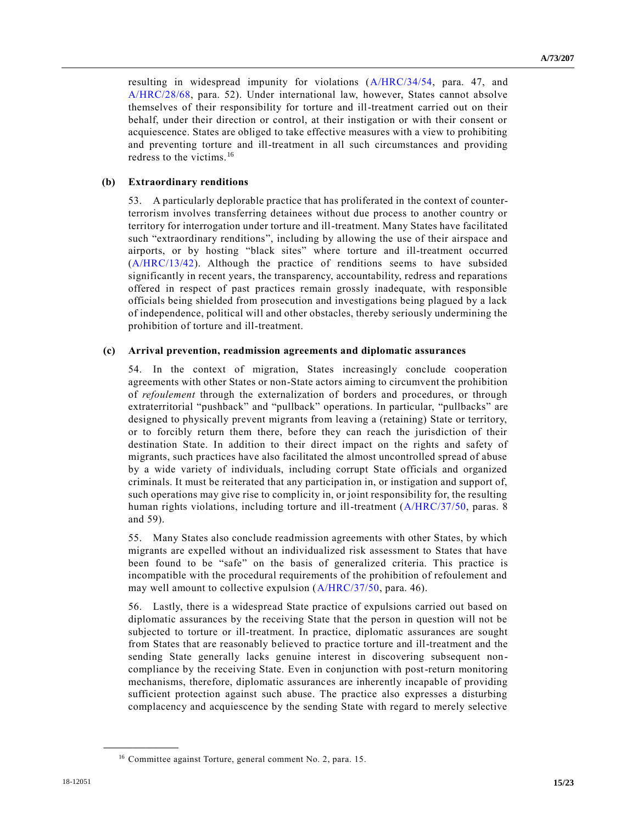resulting in widespread impunity for violations [\(A/HRC/34/54,](https://undocs.org/A/HRC/34/54) para. 47, and [A/HRC/28/68,](https://undocs.org/A/HRC/28/68) para. 52). Under international law, however, States cannot absolve themselves of their responsibility for torture and ill-treatment carried out on their behalf, under their direction or control, at their instigation or with their consent or acquiescence. States are obliged to take effective measures with a view to prohibiting and preventing torture and ill-treatment in all such circumstances and providing redress to the victims.<sup>16</sup>

#### **(b) Extraordinary renditions**

53. A particularly deplorable practice that has proliferated in the context of counterterrorism involves transferring detainees without due process to another country or territory for interrogation under torture and ill-treatment. Many States have facilitated such "extraordinary renditions", including by allowing the use of their airspace and airports, or by hosting "black sites" where torture and ill-treatment occurred [\(A/HRC/13/42\)](https://undocs.org/A/HRC/13/42). Although the practice of renditions seems to have subsided significantly in recent years, the transparency, accountability, redress and reparations offered in respect of past practices remain grossly inadequate, with responsible officials being shielded from prosecution and investigations being plagued by a lack of independence, political will and other obstacles, thereby seriously undermining the prohibition of torture and ill-treatment.

#### **(c) Arrival prevention, readmission agreements and diplomatic assurances**

54. In the context of migration, States increasingly conclude cooperation agreements with other States or non-State actors aiming to circumvent the prohibition of *refoulement* through the externalization of borders and procedures, or through extraterritorial "pushback" and "pullback" operations. In particular, "pullbacks" are designed to physically prevent migrants from leaving a (retaining) State or territory, or to forcibly return them there, before they can reach the jurisdiction of their destination State. In addition to their direct impact on the rights and safety of migrants, such practices have also facilitated the almost uncontrolled spread of abuse by a wide variety of individuals, including corrupt State officials and organized criminals. It must be reiterated that any participation in, or instigation and support of, such operations may give rise to complicity in, or joint responsibility for, the resulting human rights violations, including torture and ill-treatment [\(A/HRC/37/50,](https://undocs.org/A/HRC/37/50) paras. 8 and 59).

55. Many States also conclude readmission agreements with other States, by which migrants are expelled without an individualized risk assessment to States that have been found to be "safe" on the basis of generalized criteria. This practice is incompatible with the procedural requirements of the prohibition of refoulement and may well amount to collective expulsion [\(A/HRC/37/50,](https://undocs.org/A/HRC/37/50) para. 46).

56. Lastly, there is a widespread State practice of expulsions carried out based on diplomatic assurances by the receiving State that the person in question will not be subjected to torture or ill-treatment. In practice, diplomatic assurances are sought from States that are reasonably believed to practice torture and ill-treatment and the sending State generally lacks genuine interest in discovering subsequent noncompliance by the receiving State. Even in conjunction with post-return monitoring mechanisms, therefore, diplomatic assurances are inherently incapable of providing sufficient protection against such abuse. The practice also expresses a disturbing complacency and acquiescence by the sending State with regard to merely selective

<sup>16</sup> Committee against Torture, general comment No. 2, para. 15.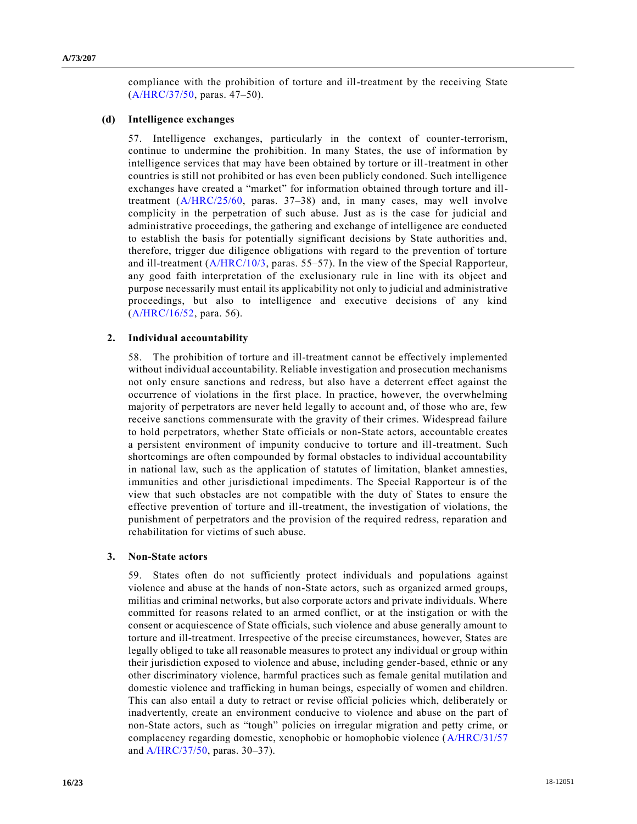compliance with the prohibition of torture and ill-treatment by the receiving State [\(A/HRC/37/50,](https://undocs.org/A/HRC/37/50) paras. 47–50).

# **(d) Intelligence exchanges**

57. Intelligence exchanges, particularly in the context of counter-terrorism, continue to undermine the prohibition. In many States, the use of information by intelligence services that may have been obtained by torture or ill-treatment in other countries is still not prohibited or has even been publicly condoned. Such intelligence exchanges have created a "market" for information obtained through torture and illtreatment [\(A/HRC/25/60,](https://undocs.org/A/HRC/25/60) paras. 37–38) and, in many cases, may well involve complicity in the perpetration of such abuse. Just as is the case for judicial and administrative proceedings, the gathering and exchange of intelligence are conducted to establish the basis for potentially significant decisions by State authorities and, therefore, trigger due diligence obligations with regard to the prevention of torture and ill-treatment [\(A/HRC/10/3,](https://undocs.org/A/HRC/10/3) paras. 55–57). In the view of the Special Rapporteur, any good faith interpretation of the exclusionary rule in line with its object and purpose necessarily must entail its applicability not only to judicial and administrative proceedings, but also to intelligence and executive decisions of any kind [\(A/HRC/16/52,](https://undocs.org/A/HRC/16/52) para. 56).

#### **2. Individual accountability**

58. The prohibition of torture and ill-treatment cannot be effectively implemented without individual accountability. Reliable investigation and prosecution mechanisms not only ensure sanctions and redress, but also have a deterrent effect against the occurrence of violations in the first place. In practice, however, the overwhelming majority of perpetrators are never held legally to account and, of those who are, few receive sanctions commensurate with the gravity of their crimes. Widespread failure to hold perpetrators, whether State officials or non-State actors, accountable creates a persistent environment of impunity conducive to torture and ill-treatment. Such shortcomings are often compounded by formal obstacles to individual accountability in national law, such as the application of statutes of limitation, blanket amnesties, immunities and other jurisdictional impediments. The Special Rapporteur is of the view that such obstacles are not compatible with the duty of States to ensure the effective prevention of torture and ill-treatment, the investigation of violations, the punishment of perpetrators and the provision of the required redress, reparation and rehabilitation for victims of such abuse.

#### **3. Non-State actors**

59. States often do not sufficiently protect individuals and populations against violence and abuse at the hands of non-State actors, such as organized armed groups, militias and criminal networks, but also corporate actors and private individuals. Where committed for reasons related to an armed conflict, or at the instigation or with the consent or acquiescence of State officials, such violence and abuse generally amount to torture and ill-treatment. Irrespective of the precise circumstances, however, States are legally obliged to take all reasonable measures to protect any individual or group within their jurisdiction exposed to violence and abuse, including gender-based, ethnic or any other discriminatory violence, harmful practices such as female genital mutilation and domestic violence and trafficking in human beings, especially of women and children. This can also entail a duty to retract or revise official policies which, deliberately or inadvertently, create an environment conducive to violence and abuse on the part of non-State actors, such as "tough" policies on irregular migration and petty crime, or complacency regarding domestic, xenophobic or homophobic violence [\(A/HRC/31/57](https://undocs.org/A/HRC/31/57) an[d A/HRC/37/50,](https://undocs.org/A/HRC/37/50) paras. 30–37).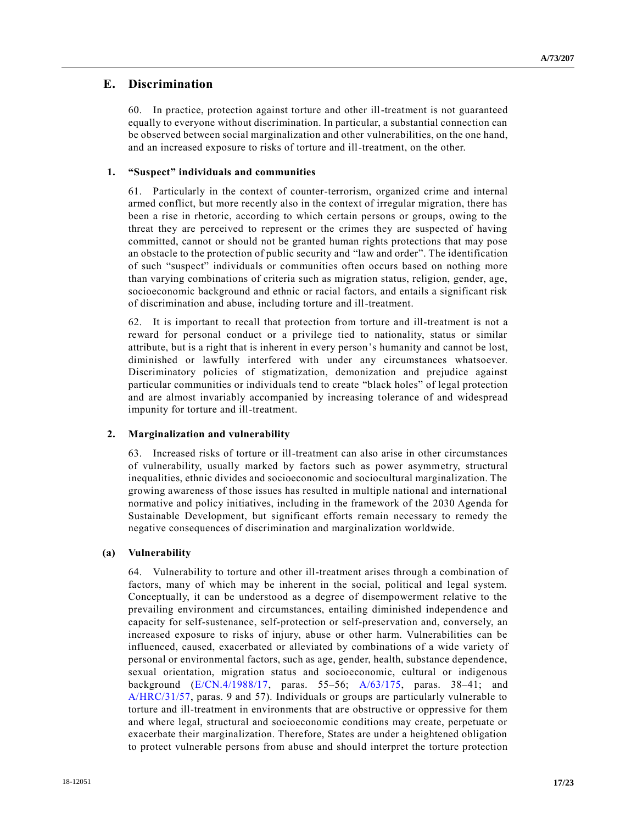# **E. Discrimination**

60. In practice, protection against torture and other ill-treatment is not guaranteed equally to everyone without discrimination. In particular, a substantial connection can be observed between social marginalization and other vulnerabilities, on the one hand, and an increased exposure to risks of torture and ill-treatment, on the other.

## **1. "Suspect" individuals and communities**

61. Particularly in the context of counter-terrorism, organized crime and internal armed conflict, but more recently also in the context of irregular migration, there has been a rise in rhetoric, according to which certain persons or groups, owing to the threat they are perceived to represent or the crimes they are suspected of having committed, cannot or should not be granted human rights protections that may pose an obstacle to the protection of public security and "law and order". The identification of such "suspect" individuals or communities often occurs based on nothing more than varying combinations of criteria such as migration status, religion, gender, age, socioeconomic background and ethnic or racial factors, and entails a significant risk of discrimination and abuse, including torture and ill-treatment.

62. It is important to recall that protection from torture and ill-treatment is not a reward for personal conduct or a privilege tied to nationality, status or similar attribute, but is a right that is inherent in every person's humanity and cannot be lost, diminished or lawfully interfered with under any circumstances whatsoever. Discriminatory policies of stigmatization, demonization and prejudice against particular communities or individuals tend to create "black holes" of legal protection and are almost invariably accompanied by increasing tolerance of and widespread impunity for torture and ill-treatment.

# **2. Marginalization and vulnerability**

63. Increased risks of torture or ill-treatment can also arise in other circumstances of vulnerability, usually marked by factors such as power asymmetry, structural inequalities, ethnic divides and socioeconomic and sociocultural marginalization. The growing awareness of those issues has resulted in multiple national and international normative and policy initiatives, including in the framework of the 2030 Agenda for Sustainable Development, but significant efforts remain necessary to remedy the negative consequences of discrimination and marginalization worldwide.

#### **(a) Vulnerability**

64. Vulnerability to torture and other ill-treatment arises through a combination of factors, many of which may be inherent in the social, political and legal system. Conceptually, it can be understood as a degree of disempowerment relative to the prevailing environment and circumstances, entailing diminished independenc e and capacity for self-sustenance, self-protection or self-preservation and, conversely, an increased exposure to risks of injury, abuse or other harm. Vulnerabilities can be influenced, caused, exacerbated or alleviated by combinations of a wide variety of personal or environmental factors, such as age, gender, health, substance dependence, sexual orientation, migration status and socioeconomic, cultural or indigenous background [\(E/CN.4/1988/17,](https://undocs.org/E/CN.4/1988/17) paras. 55–56; [A/63/175,](https://undocs.org/A/63/175) paras. 38–41; and [A/HRC/31/57,](https://undocs.org/A/HRC/31/57) paras. 9 and 57). Individuals or groups are particularly vulnerable to torture and ill-treatment in environments that are obstructive or oppressive for them and where legal, structural and socioeconomic conditions may create, perpetuate or exacerbate their marginalization. Therefore, States are under a heightened obligation to protect vulnerable persons from abuse and should interpret the torture protection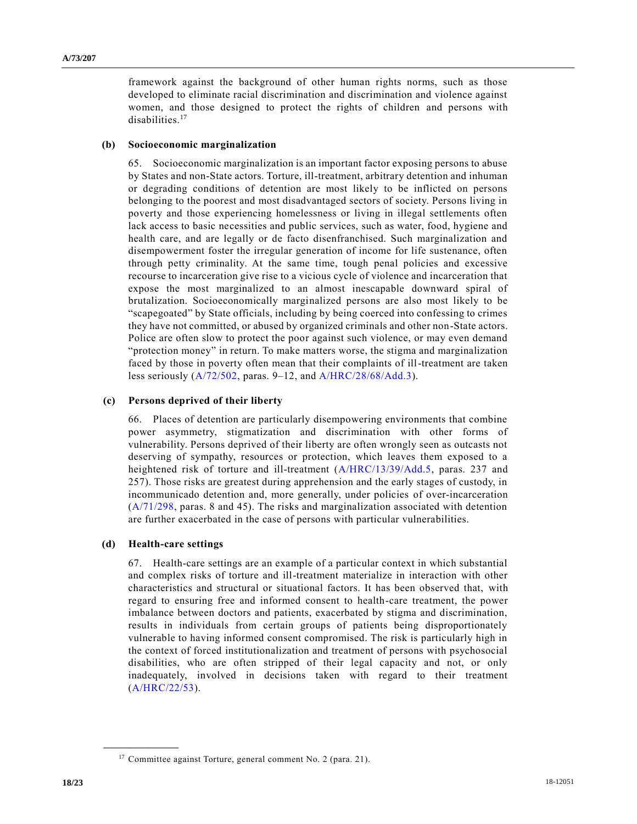framework against the background of other human rights norms, such as those developed to eliminate racial discrimination and discrimination and violence against women, and those designed to protect the rights of children and persons with disabilities.<sup>17</sup>

#### **(b) Socioeconomic marginalization**

65. Socioeconomic marginalization is an important factor exposing persons to abuse by States and non-State actors. Torture, ill-treatment, arbitrary detention and inhuman or degrading conditions of detention are most likely to be inflicted on persons belonging to the poorest and most disadvantaged sectors of society. Persons living in poverty and those experiencing homelessness or living in illegal settlements often lack access to basic necessities and public services, such as water, food, hygiene and health care, and are legally or de facto disenfranchised. Such marginalization and disempowerment foster the irregular generation of income for life sustenance, often through petty criminality. At the same time, tough penal policies and excessive recourse to incarceration give rise to a vicious cycle of violence and incarceration that expose the most marginalized to an almost inescapable downward spiral of brutalization. Socioeconomically marginalized persons are also most likely to be "scapegoated" by State officials, including by being coerced into confessing to crimes they have not committed, or abused by organized criminals and other non-State actors. Police are often slow to protect the poor against such violence, or may even demand "protection money" in return. To make matters worse, the stigma and marginalization faced by those in poverty often mean that their complaints of ill-treatment are taken less seriously [\(A/72/502,](https://undocs.org/A/72/502) paras. 9–12, and [A/HRC/28/68/Add.3\)](https://undocs.org/A/HRC/28/68/Add.3).

### **(c) Persons deprived of their liberty**

66. Places of detention are particularly disempowering environments that combine power asymmetry, stigmatization and discrimination with other forms of vulnerability. Persons deprived of their liberty are often wrongly seen as outcasts not deserving of sympathy, resources or protection, which leaves them exposed to a heightened risk of torture and ill-treatment [\(A/HRC/13/39/Add.5,](https://undocs.org/A/HRC/13/39/Add.5) paras. 237 and 257). Those risks are greatest during apprehension and the early stages of custody, in incommunicado detention and, more generally, under policies of over-incarceration [\(A/71/298,](https://undocs.org/A/71/298) paras. 8 and 45). The risks and marginalization associated with detention are further exacerbated in the case of persons with particular vulnerabilities.

#### **(d) Health-care settings**

**\_\_\_\_\_\_\_\_\_\_\_\_\_\_\_\_\_\_**

67. Health-care settings are an example of a particular context in which substantial and complex risks of torture and ill-treatment materialize in interaction with other characteristics and structural or situational factors. It has been observed that, with regard to ensuring free and informed consent to health-care treatment, the power imbalance between doctors and patients, exacerbated by stigma and discrimination, results in individuals from certain groups of patients being disproportionately vulnerable to having informed consent compromised. The risk is particularly high in the context of forced institutionalization and treatment of persons with psychosocial disabilities, who are often stripped of their legal capacity and not, or only inadequately, involved in decisions taken with regard to their treatment [\(A/HRC/22/53\)](https://undocs.org/A/HRC/22/53).

<sup>&</sup>lt;sup>17</sup> Committee against Torture, general comment No. 2 (para. 21).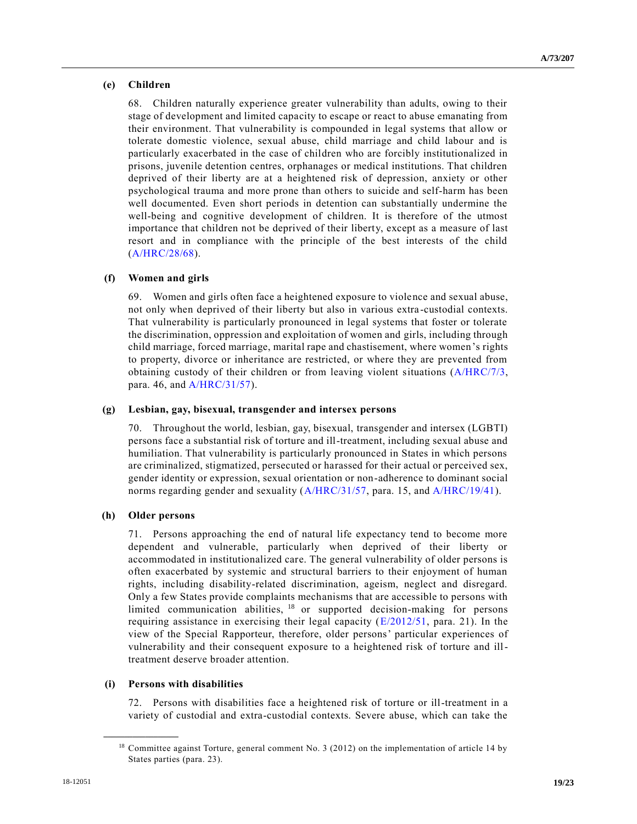# **(e) Children**

68. Children naturally experience greater vulnerability than adults, owing to their stage of development and limited capacity to escape or react to abuse emanating from their environment. That vulnerability is compounded in legal systems that allow or tolerate domestic violence, sexual abuse, child marriage and child labour and is particularly exacerbated in the case of children who are forcibly institutionalized in prisons, juvenile detention centres, orphanages or medical institutions. That children deprived of their liberty are at a heightened risk of depression, anxiety or other psychological trauma and more prone than others to suicide and self-harm has been well documented. Even short periods in detention can substantially undermine the well-being and cognitive development of children. It is therefore of the utmost importance that children not be deprived of their liberty, except as a measure of last resort and in compliance with the principle of the best interests of the child [\(A/HRC/28/68\)](https://undocs.org/A/HRC/28/68).

### **(f) Women and girls**

69. Women and girls often face a heightened exposure to violence and sexual abuse, not only when deprived of their liberty but also in various extra -custodial contexts. That vulnerability is particularly pronounced in legal systems that foster or tolerate the discrimination, oppression and exploitation of women and girls, including through child marriage, forced marriage, marital rape and chastisement, where women's rights to property, divorce or inheritance are restricted, or where they are prevented from obtaining custody of their children or from leaving violent situations [\(A/HRC/7/3,](https://undocs.org/A/HRC/7/3) para. 46, and [A/HRC/31/57\)](https://undocs.org/A/HRC/31/57).

#### **(g) Lesbian, gay, bisexual, transgender and intersex persons**

70. Throughout the world, lesbian, gay, bisexual, transgender and intersex (LGBTI) persons face a substantial risk of torture and ill-treatment, including sexual abuse and humiliation. That vulnerability is particularly pronounced in States in which persons are criminalized, stigmatized, persecuted or harassed for their actual or perceived sex, gender identity or expression, sexual orientation or non-adherence to dominant social norms regarding gender and sexuality [\(A/HRC/31/57,](https://undocs.org/A/HRC/31/57) para. 15, and [A/HRC/19/41\)](https://undocs.org/A/HRC/19/41).

#### **(h) Older persons**

71. Persons approaching the end of natural life expectancy tend to become more dependent and vulnerable, particularly when deprived of their liberty or accommodated in institutionalized care. The general vulnerability of older persons is often exacerbated by systemic and structural barriers to their enjoyment of human rights, including disability-related discrimination, ageism, neglect and disregard. Only a few States provide complaints mechanisms that are accessible to persons with limited communication abilities, <sup>18</sup> or supported decision-making for persons requiring assistance in exercising their legal capacity [\(E/2012/51,](https://undocs.org/E/2012/51) para. 21). In the view of the Special Rapporteur, therefore, older persons' particular experiences of vulnerability and their consequent exposure to a heightened risk of torture and illtreatment deserve broader attention.

## **(i) Persons with disabilities**

**\_\_\_\_\_\_\_\_\_\_\_\_\_\_\_\_\_\_**

72. Persons with disabilities face a heightened risk of torture or ill-treatment in a variety of custodial and extra-custodial contexts. Severe abuse, which can take the

<sup>&</sup>lt;sup>18</sup> Committee against Torture, general comment No. 3 (2012) on the implementation of article 14 by States parties (para. 23).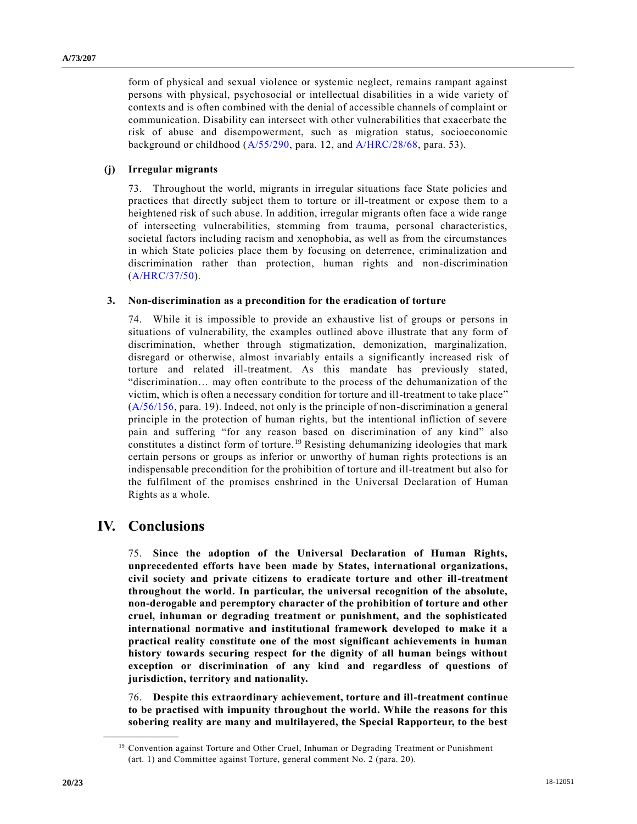form of physical and sexual violence or systemic neglect, remains rampant against persons with physical, psychosocial or intellectual disabilities in a wide variety of contexts and is often combined with the denial of accessible channels of complaint or communication. Disability can intersect with other vulnerabilities that exacerbate the risk of abuse and disempowerment, such as migration status, socioeconomic background or childhood [\(A/55/290,](https://undocs.org/A/55/290) para. 12, and [A/HRC/28/68,](https://undocs.org/A/HRC/28/68) para. 53).

## **(j) Irregular migrants**

73. Throughout the world, migrants in irregular situations face State policies and practices that directly subject them to torture or ill-treatment or expose them to a heightened risk of such abuse. In addition, irregular migrants often face a wide range of intersecting vulnerabilities, stemming from trauma, personal characteristics, societal factors including racism and xenophobia, as well as from the circumstances in which State policies place them by focusing on deterrence, criminalization and discrimination rather than protection, human rights and non-discrimination [\(A/HRC/37/50\)](https://undocs.org/A/HRC/37/50).

### **3. Non-discrimination as a precondition for the eradication of torture**

74. While it is impossible to provide an exhaustive list of groups or persons in situations of vulnerability, the examples outlined above illustrate that any form of discrimination, whether through stigmatization, demonization, marginalization, disregard or otherwise, almost invariably entails a significantly increased risk of torture and related ill-treatment. As this mandate has previously stated, "discrimination… may often contribute to the process of the dehumanization of the victim, which is often a necessary condition for torture and ill-treatment to take place" [\(A/56/156,](https://undocs.org/A/56/156) para. 19). Indeed, not only is the principle of non-discrimination a general principle in the protection of human rights, but the intentional infliction of severe pain and suffering "for any reason based on discrimination of any kind" also constitutes a distinct form of torture. <sup>19</sup> Resisting dehumanizing ideologies that mark certain persons or groups as inferior or unworthy of human rights protections is an indispensable precondition for the prohibition of torture and ill-treatment but also for the fulfilment of the promises enshrined in the Universal Declaration of Human Rights as a whole.

# **IV. Conclusions**

**\_\_\_\_\_\_\_\_\_\_\_\_\_\_\_\_\_\_**

75. **Since the adoption of the Universal Declaration of Human Rights, unprecedented efforts have been made by States, international organizations, civil society and private citizens to eradicate torture and other ill-treatment throughout the world. In particular, the universal recognition of the absolute, non-derogable and peremptory character of the prohibition of torture and other cruel, inhuman or degrading treatment or punishment, and the sophisticated international normative and institutional framework developed to make it a practical reality constitute one of the most significant achievements in human history towards securing respect for the dignity of all human beings without exception or discrimination of any kind and regardless of questions of jurisdiction, territory and nationality.**

76. **Despite this extraordinary achievement, torture and ill-treatment continue to be practised with impunity throughout the world. While the reasons for this sobering reality are many and multilayered, the Special Rapporteur, to the best** 

<sup>&</sup>lt;sup>19</sup> Convention against Torture and Other Cruel, Inhuman or Degrading Treatment or Punishment (art. 1) and Committee against Torture, general comment No. 2 (para. 20).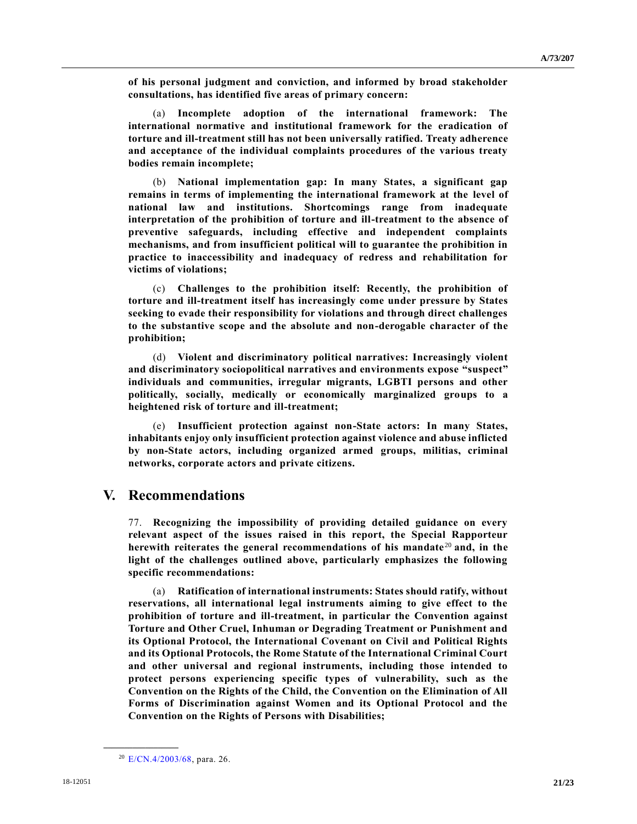**of his personal judgment and conviction, and informed by broad stakeholder consultations, has identified five areas of primary concern:**

(a) **Incomplete adoption of the international framework: The international normative and institutional framework for the eradication of torture and ill-treatment still has not been universally ratified. Treaty adherence and acceptance of the individual complaints procedures of the various treaty bodies remain incomplete;**

(b) **National implementation gap: In many States, a significant gap remains in terms of implementing the international framework at the level of national law and institutions. Shortcomings range from inadequate interpretation of the prohibition of torture and ill-treatment to the absence of preventive safeguards, including effective and independent complaints mechanisms, and from insufficient political will to guarantee the prohibition in practice to inaccessibility and inadequacy of redress and rehabilitation for victims of violations;**

(c) **Challenges to the prohibition itself: Recently, the prohibition of torture and ill-treatment itself has increasingly come under pressure by States seeking to evade their responsibility for violations and through direct challenges to the substantive scope and the absolute and non-derogable character of the prohibition;**

(d) **Violent and discriminatory political narratives: Increasingly violent and discriminatory sociopolitical narratives and environments expose "suspect" individuals and communities, irregular migrants, LGBTI persons and other politically, socially, medically or economically marginalized groups to a heightened risk of torture and ill-treatment;**

(e) **Insufficient protection against non-State actors: In many States, inhabitants enjoy only insufficient protection against violence and abuse inflicted by non-State actors, including organized armed groups, militias, criminal networks, corporate actors and private citizens.** 

# **V. Recommendations**

77. **Recognizing the impossibility of providing detailed guidance on every relevant aspect of the issues raised in this report, the Special Rapporteur herewith reiterates the general recommendations of his mandate** <sup>20</sup> **and, in the light of the challenges outlined above, particularly emphasizes the following specific recommendations:**

(a) **Ratification of international instruments: States should ratify, without reservations, all international legal instruments aiming to give effect to the prohibition of torture and ill-treatment, in particular the Convention against Torture and Other Cruel, Inhuman or Degrading Treatment or Punishment and its Optional Protocol, the International Covenant on Civil and Political Rights and its Optional Protocols, the Rome Statute of the International Criminal Court and other universal and regional instruments, including those intended to protect persons experiencing specific types of vulnerability, such as the Convention on the Rights of the Child, the Convention on the Elimination of All Forms of Discrimination against Women and its Optional Protocol and the Convention on the Rights of Persons with Disabilities;**

<sup>20</sup> [E/CN.4/2003/68,](https://undocs.org/E/CN.4/2003/68) para. 26.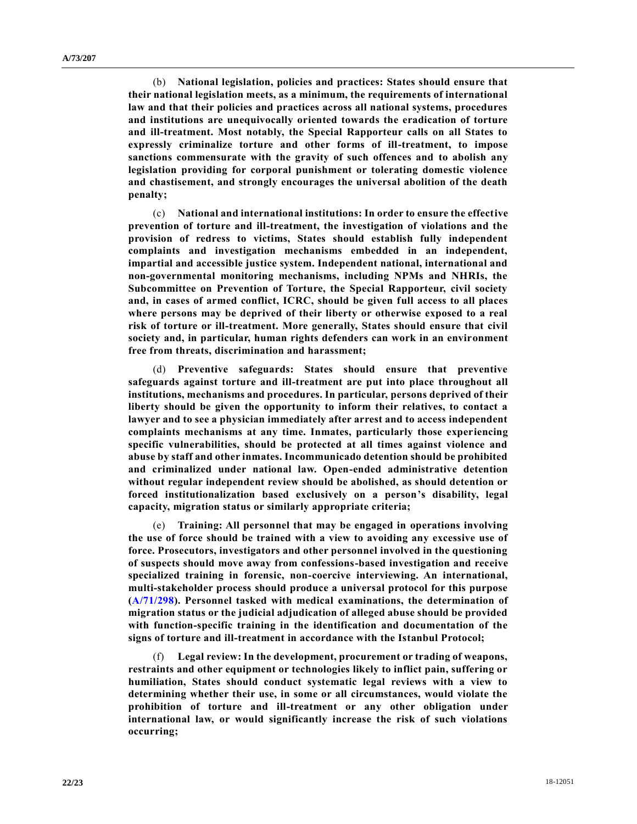(b) **National legislation, policies and practices: States should ensure that their national legislation meets, as a minimum, the requirements of international law and that their policies and practices across all national systems, procedures and institutions are unequivocally oriented towards the eradication of torture and ill-treatment. Most notably, the Special Rapporteur calls on all States to expressly criminalize torture and other forms of ill-treatment, to impose sanctions commensurate with the gravity of such offences and to abolish any legislation providing for corporal punishment or tolerating domestic violence and chastisement, and strongly encourages the universal abolition of the death penalty;**

(c) **National and international institutions: In order to ensure the effective prevention of torture and ill-treatment, the investigation of violations and the provision of redress to victims, States should establish fully independent complaints and investigation mechanisms embedded in an independent, impartial and accessible justice system. Independent national, international and non-governmental monitoring mechanisms, including NPMs and NHRIs, the Subcommittee on Prevention of Torture, the Special Rapporteur, civil society and, in cases of armed conflict, ICRC, should be given full access to all places where persons may be deprived of their liberty or otherwise exposed to a real risk of torture or ill-treatment. More generally, States should ensure that civil society and, in particular, human rights defenders can work in an environment free from threats, discrimination and harassment;**

(d) **Preventive safeguards: States should ensure that preventive safeguards against torture and ill-treatment are put into place throughout all institutions, mechanisms and procedures. In particular, persons deprived of their liberty should be given the opportunity to inform their relatives, to contact a lawyer and to see a physician immediately after arrest and to access independent complaints mechanisms at any time. Inmates, particularly those experiencing specific vulnerabilities, should be protected at all times against violence and abuse by staff and other inmates. Incommunicado detention should be prohibited and criminalized under national law. Open-ended administrative detention without regular independent review should be abolished, as should detention or forced institutionalization based exclusively on a person's disability, legal capacity, migration status or similarly appropriate criteria;**

(e) **Training: All personnel that may be engaged in operations involving the use of force should be trained with a view to avoiding any excessive use of force. Prosecutors, investigators and other personnel involved in the questioning of suspects should move away from confessions-based investigation and receive specialized training in forensic, non-coercive interviewing. An international, multi-stakeholder process should produce a universal protocol for this purpose [\(A/71/298\)](https://undocs.org/A/71/298). Personnel tasked with medical examinations, the determination of migration status or the judicial adjudication of alleged abuse should be provided with function-specific training in the identification and documentation of the signs of torture and ill-treatment in accordance with the Istanbul Protocol;**

(f) **Legal review: In the development, procurement or trading of weapons, restraints and other equipment or technologies likely to inflict pain, suffering or humiliation, States should conduct systematic legal reviews with a view to determining whether their use, in some or all circumstances, would violate the prohibition of torture and ill-treatment or any other obligation under international law, or would significantly increase the risk of such violations occurring;**